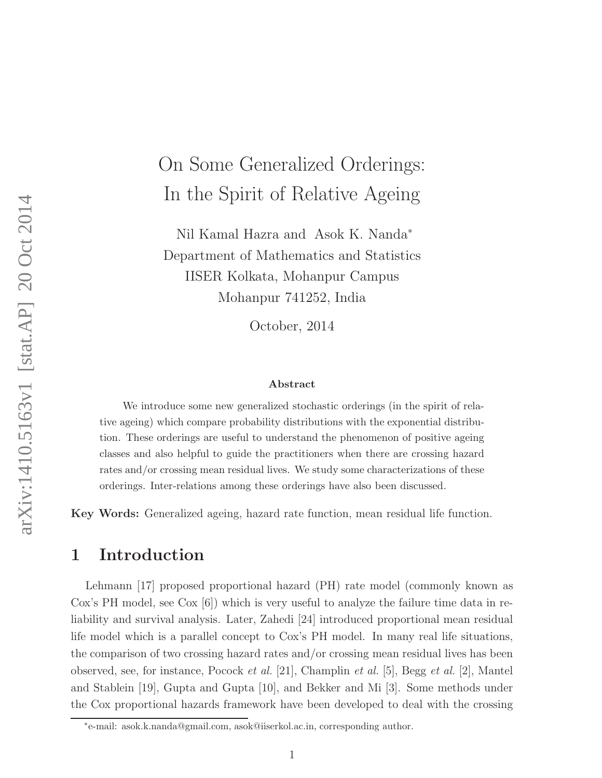# On Some Generalized Orderings: In the Spirit of Relative Ageing

Nil Kamal Hazra and Asok K. Nanda<sup>∗</sup> Department of Mathematics and Statistics IISER Kolkata, Mohanpur Campus Mohanpur 741252, India

October, 2014

#### Abstract

We introduce some new generalized stochastic orderings (in the spirit of relative ageing) which compare probability distributions with the exponential distribution. These orderings are useful to understand the phenomenon of positive ageing classes and also helpful to guide the practitioners when there are crossing hazard rates and/or crossing mean residual lives. We study some characterizations of these orderings. Inter-relations among these orderings have also been discussed.

Key Words: Generalized ageing, hazard rate function, mean residual life function.

#### 1 Introduction

Lehmann [17] proposed proportional hazard (PH) rate model (commonly known as Cox's PH model, see Cox [6]) which is very useful to analyze the failure time data in reliability and survival analysis. Later, Zahedi [24] introduced proportional mean residual life model which is a parallel concept to Cox's PH model. In many real life situations, the comparison of two crossing hazard rates and/or crossing mean residual lives has been observed, see, for instance, Pocock *et al.* [21], Champlin *et al.* [5], Begg *et al.* [2], Mantel and Stablein [19], Gupta and Gupta [10], and Bekker and Mi [3]. Some methods under the Cox proportional hazards framework have been developed to deal with the crossing

<sup>∗</sup> e-mail: asok.k.nanda@gmail.com, asok@iiserkol.ac.in, corresponding author.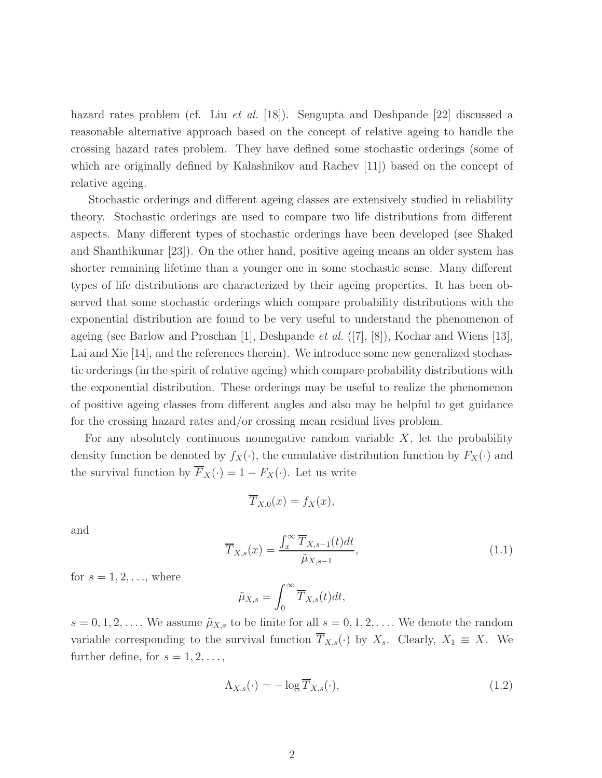hazard rates problem (cf. Liu *et al.* [18]). Sengupta and Deshpande [22] discussed a reasonable alternative approach based on the concept of relative ageing to handle the crossing hazard rates problem. They have defined some stochastic orderings (some of which are originally defined by Kalashnikov and Rachev [11]) based on the concept of relative ageing.

Stochastic orderings and different ageing classes are extensively studied in reliability theory. Stochastic orderings are used to compare two life distributions from different aspects. Many different types of stochastic orderings have been developed (see Shaked and Shanthikumar [23]). On the other hand, positive ageing means an older system has shorter remaining lifetime than a younger one in some stochastic sense. Many different types of life distributions are characterized by their ageing properties. It has been observed that some stochastic orderings which compare probability distributions with the exponential distribution are found to be very useful to understand the phenomenon of ageing (see Barlow and Proschan [1], Deshpande *et al.* ([7], [8]), Kochar and Wiens [13], Lai and Xie [14], and the references therein). We introduce some new generalized stochastic orderings (in the spirit of relative ageing) which compare probability distributions with the exponential distribution. These orderings may be useful to realize the phenomenon of positive ageing classes from different angles and also may be helpful to get guidance for the crossing hazard rates and/or crossing mean residual lives problem.

For any absolutely continuous nonnegative random variable  $X$ , let the probability density function be denoted by  $f_X(\cdot)$ , the cumulative distribution function by  $F_X(\cdot)$  and the survival function by  $\overline{F}_X(\cdot) = 1 - F_X(\cdot)$ . Let us write

$$
\overline{T}_{X,0}(x) = f_X(x),
$$

and

$$
\overline{T}_{X,s}(x) = \frac{\int_x^{\infty} \overline{T}_{X,s-1}(t)dt}{\tilde{\mu}_{X,s-1}},
$$
\n(1.1)

for  $s = 1, 2, \ldots$ , where

$$
\tilde{\mu}_{X,s} = \int_0^\infty \overline{T}_{X,s}(t)dt,
$$

 $s = 0, 1, 2, \ldots$ . We assume  $\tilde{\mu}_{X,s}$  to be finite for all  $s = 0, 1, 2, \ldots$ . We denote the random variable corresponding to the survival function  $\overline{T}_{X,s}(\cdot)$  by  $X_s$ . Clearly,  $X_1 \equiv X$ . We further define, for  $s = 1, 2, \ldots$ ,

$$
\Lambda_{X,s}(\cdot) = -\log \overline{T}_{X,s}(\cdot),\tag{1.2}
$$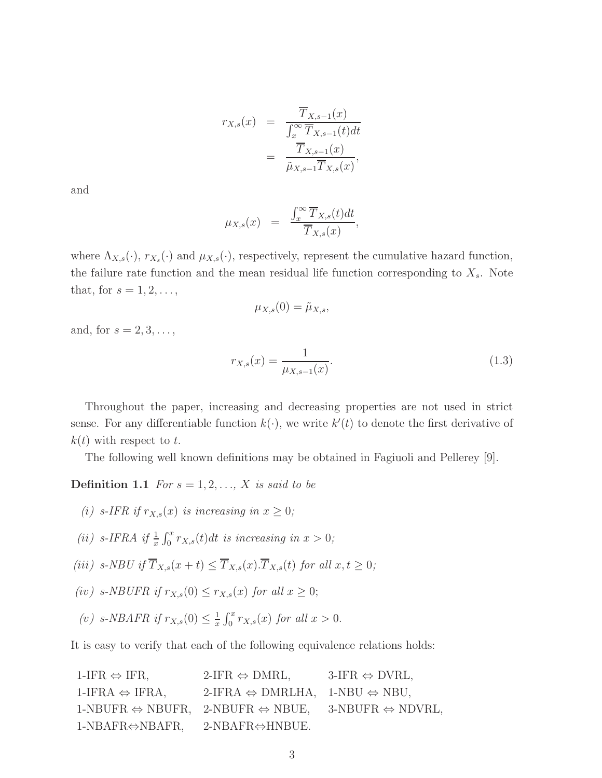$$
r_{X,s}(x) = \frac{\overline{T}_{X,s-1}(x)}{\int_x^{\infty} \overline{T}_{X,s-1}(t)dt}
$$
  
= 
$$
\frac{\overline{T}_{X,s-1}(x)}{\tilde{\mu}_{X,s-1} \overline{T}_{X,s}(x)},
$$

and

$$
\mu_{X,s}(x) = \frac{\int_x^{\infty} \overline{T}_{X,s}(t)dt}{\overline{T}_{X,s}(x)},
$$

where  $\Lambda_{X,s}(\cdot)$ ,  $r_{X_s}(\cdot)$  and  $\mu_{X,s}(\cdot)$ , respectively, represent the cumulative hazard function, the failure rate function and the mean residual life function corresponding to  $X_s$ . Note that, for  $s = 1, 2, \ldots$ ,

$$
\mu_{X,s}(0)=\tilde{\mu}_{X,s},
$$

and, for  $s = 2, 3, \ldots$ ,

$$
r_{X,s}(x) = \frac{1}{\mu_{X,s-1}(x)}.\t(1.3)
$$

Throughout the paper, increasing and decreasing properties are not used in strict sense. For any differentiable function  $k(\cdot)$ , we write  $k'(t)$  to denote the first derivative of  $k(t)$  with respect to t.

The following well known definitions may be obtained in Fagiuoli and Pellerey [9].

**Definition 1.1** *For*  $s = 1, 2, ..., X$  *is said to be* 

- *(i)* s-IFR if  $r_{X,s}(x)$  *is increasing in*  $x \geq 0$ ;
- (*ii*) s-IFRA if  $\frac{1}{x} \int_0^x r_{X,s}(t)dt$  *is increasing in*  $x > 0$ ;
- *(iii)*  $s\text{-}NBU$  if  $\overline{T}_{X,s}(x+t) \leq \overline{T}_{X,s}(x) \cdot \overline{T}_{X,s}(t)$  *for all*  $x, t \geq 0$ *;*
- *(iv)* s-NBUFR if  $r_{X,s}(0) \leq r_{X,s}(x)$  for all  $x \geq 0$ ;
- (*v*)  $s\text{-}NBAFR$  if  $r_{X,s}(0) \leq \frac{1}{x}$  $\frac{1}{x} \int_0^x r_{X,s}(x) \text{ for all } x > 0.$

It is easy to verify that each of the following equivalence relations holds:

1-IFR  $\Leftrightarrow$  IFR, 2-IFR  $\Leftrightarrow$  DMRL, 3-IFR  $\Leftrightarrow$  DVRL, 1-IFRA  $\Leftrightarrow$  IFRA, 2-IFRA  $\Leftrightarrow$  DMRLHA, 1-NBU  $\Leftrightarrow$  NBU, 1-NBUFR  $\Leftrightarrow$  NBUFR, 2-NBUFR  $\Leftrightarrow$  NBUE, 3-NBUFR  $\Leftrightarrow$  NDVRL, 1-NBAFR⇔NBAFR, 2-NBAFR⇔HNBUE.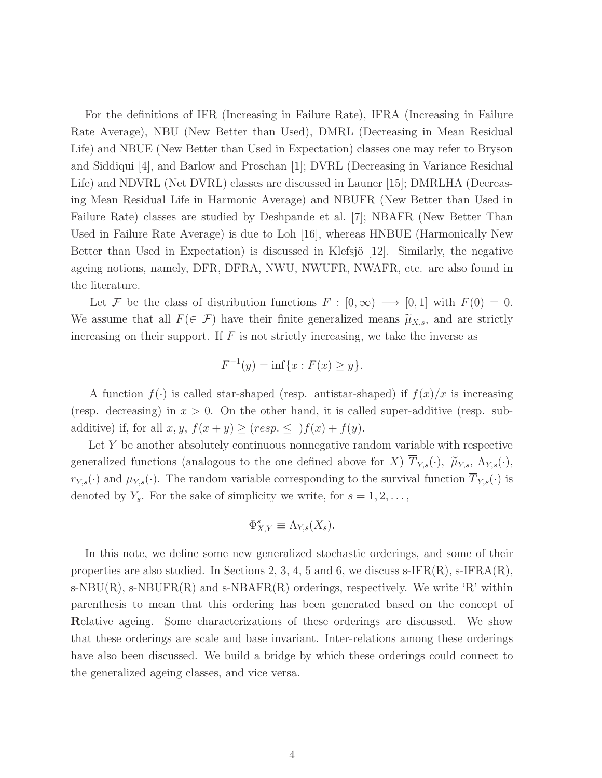For the definitions of IFR (Increasing in Failure Rate), IFRA (Increasing in Failure Rate Average), NBU (New Better than Used), DMRL (Decreasing in Mean Residual Life) and NBUE (New Better than Used in Expectation) classes one may refer to Bryson and Siddiqui [4], and Barlow and Proschan [1]; DVRL (Decreasing in Variance Residual Life) and NDVRL (Net DVRL) classes are discussed in Launer [15]; DMRLHA (Decreasing Mean Residual Life in Harmonic Average) and NBUFR (New Better than Used in Failure Rate) classes are studied by Deshpande et al. [7]; NBAFR (New Better Than Used in Failure Rate Average) is due to Loh [16], whereas HNBUE (Harmonically New Better than Used in Expectation) is discussed in Klefsjö [12]. Similarly, the negative ageing notions, namely, DFR, DFRA, NWU, NWUFR, NWAFR, etc. are also found in the literature.

Let F be the class of distribution functions  $F : [0, \infty) \longrightarrow [0, 1]$  with  $F(0) = 0$ . We assume that all  $F(\in \mathcal{F})$  have their finite generalized means  $\tilde{\mu}_{X,s}$ , and are strictly increasing on their support. If  $F$  is not strictly increasing, we take the inverse as

$$
F^{-1}(y) = \inf\{x : F(x) \ge y\}.
$$

A function  $f(\cdot)$  is called star-shaped (resp. antistar-shaped) if  $f(x)/x$  is increasing (resp. decreasing) in  $x > 0$ . On the other hand, it is called super-additive (resp. subadditive) if, for all  $x, y, f(x+y) \ge (resp. \le )f(x) + f(y).$ 

Let Y be another absolutely continuous nonnegative random variable with respective generalized functions (analogous to the one defined above for X)  $\overline{T}_{Y,s}(\cdot)$ ,  $\widetilde{\mu}_{Y,s}$ ,  $\Lambda_{Y,s}(\cdot)$ ,  $r_{Y,s}(\cdot)$  and  $\mu_{Y,s}(\cdot)$ . The random variable corresponding to the survival function  $\overline{T}_{Y,s}(\cdot)$  is denoted by  $Y_s$ . For the sake of simplicity we write, for  $s = 1, 2, \ldots$ ,

$$
\Phi_{X,Y}^s \equiv \Lambda_{Y,s}(X_s).
$$

In this note, we define some new generalized stochastic orderings, and some of their properties are also studied. In Sections 2, 3, 4, 5 and 6, we discuss s-IFR $(R)$ , s-IFR $A(R)$ ,  $s-NBU(R)$ ,  $s-NBUFR(R)$  and  $s-NBAFR(R)$  orderings, respectively. We write 'R' within parenthesis to mean that this ordering has been generated based on the concept of Relative ageing. Some characterizations of these orderings are discussed. We show that these orderings are scale and base invariant. Inter-relations among these orderings have also been discussed. We build a bridge by which these orderings could connect to the generalized ageing classes, and vice versa.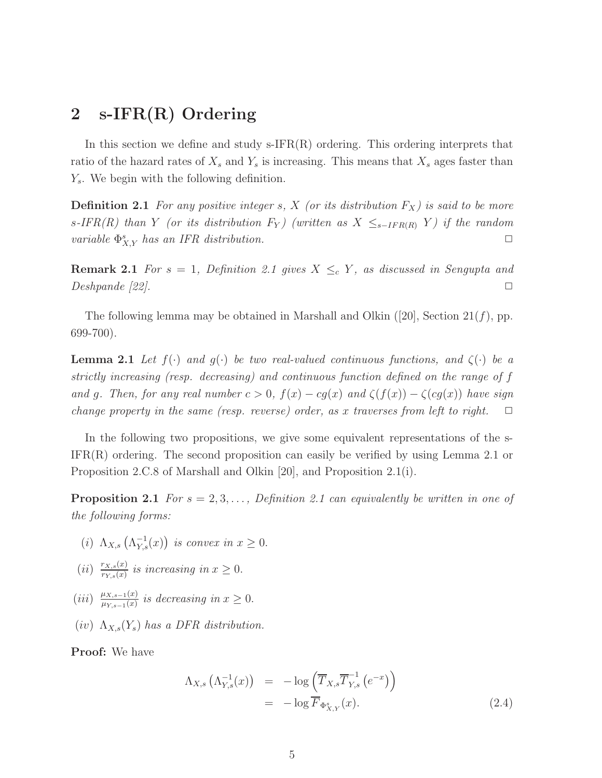# 2 s-IFR(R) Ordering

In this section we define and study  $s$ -IFR $(R)$  ordering. This ordering interprets that ratio of the hazard rates of  $X_s$  and  $Y_s$  is increasing. This means that  $X_s$  ages faster than  $Y_s$ . We begin with the following definition.

**Definition 2.1** For any positive integer s, X (or its distribution  $F_X$ ) is said to be more s-IFR(R) than Y (or its distribution  $F_Y$ ) (written as  $X \leq_{s-IFR(R)} Y$ ) if the random *variable*  $\Phi_{X,Y}^s$  *has an IFR distribution.* 

**Remark 2.1** *For*  $s = 1$ *, Definition 2.1 gives*  $X \leq_c Y$ *, as discussed in Sengupta and*  $Deshpanele [22].$ 

The following lemma may be obtained in Marshall and Olkin  $(20)$ , Section  $21(f)$ , pp. 699-700).

**Lemma 2.1** *Let*  $f(\cdot)$  *and*  $g(\cdot)$  *be two real-valued continuous functions, and*  $\zeta(\cdot)$  *be a strictly increasing (resp. decreasing) and continuous function defined on the range of* f *and* g. Then, for any real number  $c > 0$ ,  $f(x) - cg(x)$  and  $\zeta(f(x)) - \zeta(cg(x))$  have sign *change property in the same (resp. reverse) order, as x traverses from left to right.*  $\Box$ 

In the following two propositions, we give some equivalent representations of the s- $IFR(R)$  ordering. The second proposition can easily be verified by using Lemma 2.1 or Proposition 2.C.8 of Marshall and Olkin [20], and Proposition 2.1(i).

**Proposition 2.1** *For*  $s = 2, 3, \ldots$ , *Definition 2.1 can equivalently be written in one of the following forms:*

- (*i*)  $\Lambda_{X,s} \left( \Lambda_{Y,s}^{-1}(x) \right)$  *is convex in*  $x \geq 0$ .
- $(ii)$   $\frac{r_{X,s}(x)}{r_{Y}(x)}$  $\frac{r_{X,s}(x)}{r_{Y,s}(x)}$  is increasing in  $x \geq 0$ .
- $(iii) \frac{\mu_{X,s-1}(x)}{\mu_{X,s-1}(x)}$  $\frac{\mu_{X,s-1}(x)}{\mu_{Y,s-1}(x)}$  is decreasing in  $x \geq 0$ .
- $(iv)$   $\Lambda_{X,s}(Y_s)$  has a DFR distribution.

Proof: We have

$$
\Lambda_{X,s} \left( \Lambda_{Y,s}^{-1}(x) \right) = -\log \left( \overline{T}_{X,s} \overline{T}_{Y,s}^{-1} \left( e^{-x} \right) \right)
$$
  
= -\log \overline{F}\_{\Phi\_{X,Y}^s}(x). (2.4)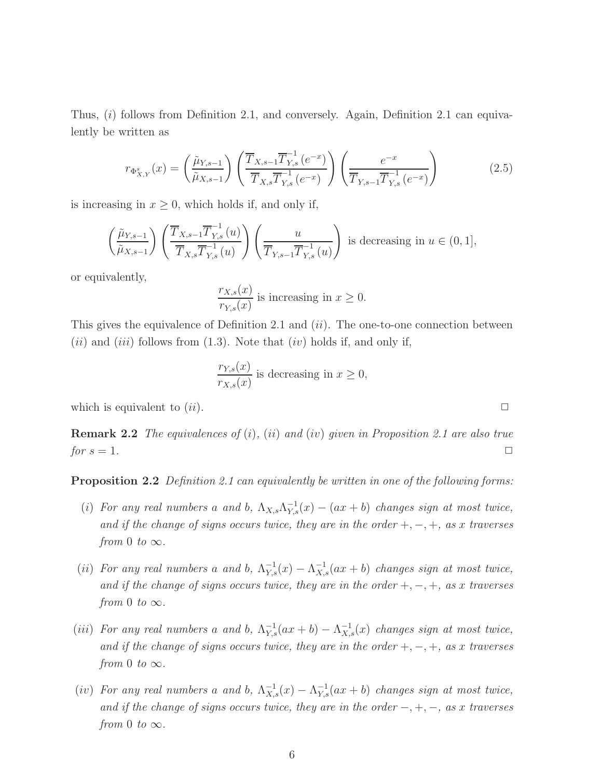Thus,  $(i)$  follows from Definition 2.1, and conversely. Again, Definition 2.1 can equivalently be written as

$$
r_{\Phi_{X,Y}^s}(x) = \left(\frac{\tilde{\mu}_{Y,s-1}}{\tilde{\mu}_{X,s-1}}\right) \left(\frac{\overline{T}_{X,s-1} \overline{T}_{Y,s}^{-1} (e^{-x})}{\overline{T}_{X,s} \overline{T}_{Y,s}^{-1} (e^{-x})}\right) \left(\frac{e^{-x}}{\overline{T}_{Y,s-1} \overline{T}_{Y,s}^{-1} (e^{-x})}\right)
$$
(2.5)

is increasing in  $x \geq 0$ , which holds if, and only if,

$$
\left(\frac{\tilde{\mu}_{Y,s-1}}{\tilde{\mu}_{X,s-1}}\right) \left(\frac{\overline{T}_{X,s-1} \overline{T}_{Y,s}^{-1}(u)}{\overline{T}_{X,s} \overline{T}_{Y,s}^{-1}(u)}\right) \left(\frac{u}{\overline{T}_{Y,s-1} \overline{T}_{Y,s}^{-1}(u)}\right) \text{ is decreasing in } u \in (0,1],
$$

or equivalently,

$$
\frac{r_{X,s}(x)}{r_{Y,s}(x)}
$$
 is increasing in  $x \ge 0$ .

This gives the equivalence of Definition 2.1 and  $(ii)$ . The one-to-one connection between  $(ii)$  and  $(iii)$  follows from  $(1.3)$ . Note that  $(iv)$  holds if, and only if,

$$
\frac{r_{Y,s}(x)}{r_{X,s}(x)}
$$
 is decreasing in  $x \ge 0$ ,

which is equivalent to  $(ii)$ .

Remark 2.2 *The equivalences of* (i)*,* (ii) *and* (iv) *given in Proposition 2.1 are also true for*  $s = 1$ *.*  $\Box$ 

Proposition 2.2 *Definition 2.1 can equivalently be written in one of the following forms:*

- (i) For any real numbers a and b,  $\Lambda_{X,s}\Lambda_{Y,s}^{-1}(x) (ax + b)$  changes sign at most twice, *and if the change of signs occurs twice, they are in the order* +, −, +*, as* x *traverses from* 0 *to*  $\infty$ *.*
- (ii) For any real numbers a and b,  $\Lambda_{Y,s}^{-1}(x) \Lambda_{X,s}^{-1}(ax + b)$  changes sign at most twice, *and if the change of signs occurs twice, they are in the order* +, −, +*, as* x *traverses from* 0 *to*  $\infty$ *.*
- (iii) For any real numbers a and b,  $\Lambda_{Y,s}^{-1}(ax + b) \Lambda_{X,s}^{-1}(x)$  changes sign at most twice, *and if the change of signs occurs twice, they are in the order* +, −, +*, as* x *traverses from* 0 *to*  $\infty$ *.*
- (iv) For any real numbers a and b,  $\Lambda_{X,s}^{-1}(x) \Lambda_{Y,s}^{-1}(ax + b)$  changes sign at most twice, *and if the change of signs occurs twice, they are in the order* −, +, −*, as* x *traverses from* 0 *to*  $\infty$ *.*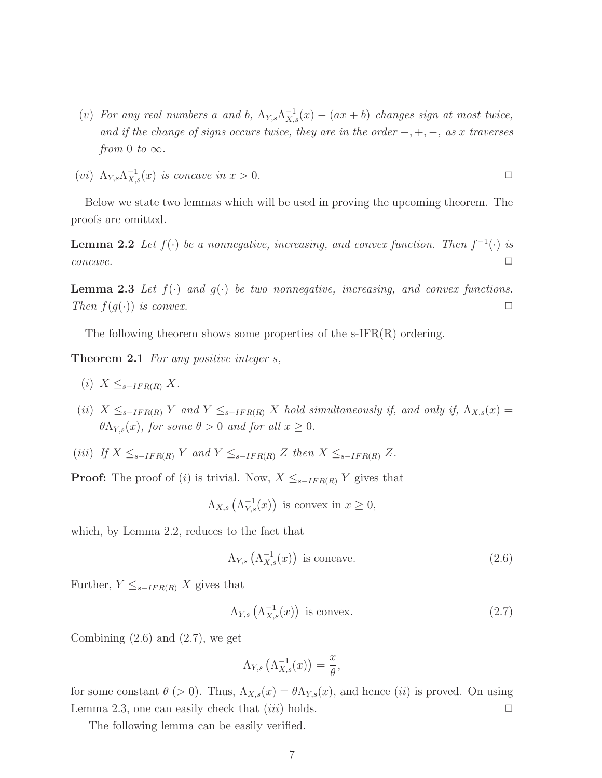- (v) For any real numbers a and b,  $\Lambda_{Y,s}\Lambda_{X,s}^{-1}(x) (ax + b)$  *changes sign at most twice*, *and if the change of signs occurs twice, they are in the order* −, +, −*, as* x *traverses from* 0 *to*  $\infty$ *.*
- (*vi*)  $\Lambda_{Y,s}\Lambda_{X,s}^{-1}(x)$  *is concave in*  $x > 0$ .

Below we state two lemmas which will be used in proving the upcoming theorem. The proofs are omitted.

**Lemma 2.2** Let  $f(\cdot)$  be a nonnegative, increasing, and convex function. Then  $f^{-1}(\cdot)$  is  $concave.$ 

**Lemma 2.3** Let  $f(\cdot)$  and  $g(\cdot)$  be two nonnegative, increasing, and convex functions. *Then*  $f(g(\cdot))$  *is convex.*  $\Box$ 

The following theorem shows some properties of the s-IFR(R) ordering.

Theorem 2.1 *For any positive integer* s*,*

- $(i)$   $X \leq_{s-IFR(R)} X$ .
- (ii)  $X \leq_{s-IFR(R)} Y$  and  $Y \leq_{s-IFR(R)} X$  hold simultaneously if, and only if,  $\Lambda_{X,s}(x) =$  $\theta \Lambda_{Y,s}(x)$ *, for some*  $\theta > 0$  *and for all*  $x \geq 0$ *.*
- (iii) *If*  $X \leq_{s-IFR(R)} Y$  and  $Y \leq_{s-IFR(R)} Z$  then  $X \leq_{s-IFR(R)} Z$ .

**Proof:** The proof of (i) is trivial. Now,  $X \leq_{s-IFR(R)} Y$  gives that

$$
\Lambda_{X,s}\left(\Lambda_{Y,s}^{-1}(x)\right) \text{ is convex in } x \ge 0,
$$

which, by Lemma 2.2, reduces to the fact that

$$
\Lambda_{Y,s} \left( \Lambda_{X,s}^{-1}(x) \right) \text{ is concave.}
$$
\n(2.6)

Further,  $Y \leq_{s-IFR(R)} X$  gives that

$$
\Lambda_{Y,s} \left( \Lambda_{X,s}^{-1}(x) \right) \text{ is convex.}
$$
 (2.7)

Combining  $(2.6)$  and  $(2.7)$ , we get

$$
\Lambda_{Y,s}\left(\Lambda_{X,s}^{-1}(x)\right) = \frac{x}{\theta},
$$

for some constant  $\theta$  (> 0). Thus,  $\Lambda_{X,s}(x) = \theta \Lambda_{Y,s}(x)$ , and hence *(ii)* is proved. On using Lemma 2.3, one can easily check that  $(iii)$  holds.  $\Box$ 

The following lemma can be easily verified.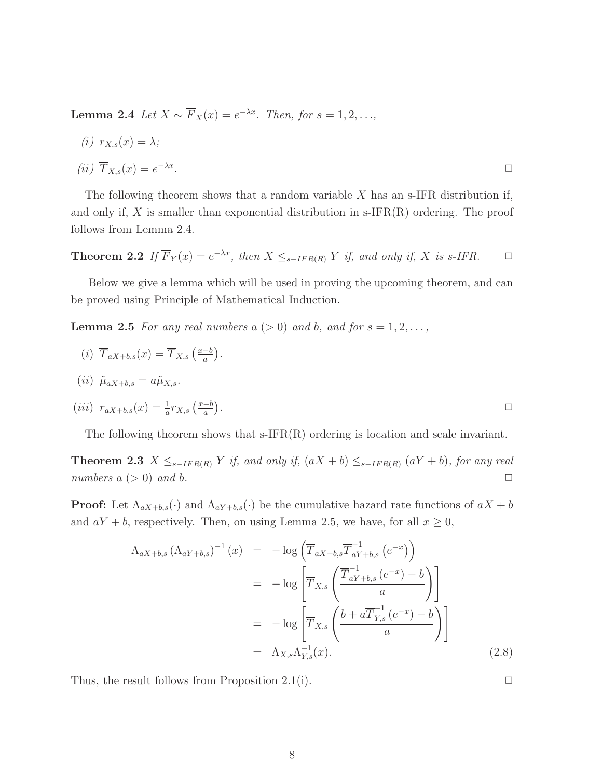Lemma 2.4 Let  $X \sim \overline{F}_X(x) = e^{-\lambda x}$ . Then, for  $s = 1, 2, \ldots$ ,

$$
(i) \ r_{X,s}(x) = \lambda;
$$
  

$$
(ii) \ \overline{T}_{X,s}(x) = e^{-\lambda x}.
$$

The following theorem shows that a random variable 
$$
X
$$
 has an s-IFR distribution if, and only if,  $X$  is smaller than exponential distribution in s-IFR(R) ordering. The proof follows from Lemma 2.4.

**Theorem 2.2** If  $\overline{F}_Y(x) = e^{-\lambda x}$ , then  $X \leq_{s-IFR(R)} Y$  if, and only if, X is s-IFR.  $\Box$ 

Below we give a lemma which will be used in proving the upcoming theorem, and can be proved using Principle of Mathematical Induction.

**Lemma 2.5** *For any real numbers*  $a (> 0)$  *and*  $b$ *, and for*  $s = 1, 2, \ldots$ ,

$$
(i) \overline{T}_{aX+b,s}(x) = \overline{T}_{X,s} \left( \frac{x-b}{a} \right).
$$
  

$$
(ii) \tilde{\mu}_{aX+b,s} = a\tilde{\mu}_{X,s}.
$$
  

$$
(iii) r_{aX+b,s}(x) = \frac{1}{a} r_{X,s} \left( \frac{x-b}{a} \right).
$$

The following theorem shows that s-IFR(R) ordering is location and scale invariant.

**Theorem 2.3**  $X ≤_{s-IFR(R)} Y$  *if, and only if,*  $(aX + b) ≤_{s-IFR(R)} (aY + b)$ *, for any real numbers*  $a \geq 0$  *and*  $b$ .

**Proof:** Let  $\Lambda_{aX+b,s}(\cdot)$  and  $\Lambda_{aY+b,s}(\cdot)$  be the cumulative hazard rate functions of  $aX + b$ and  $aY + b$ , respectively. Then, on using Lemma 2.5, we have, for all  $x \ge 0$ ,

$$
\Lambda_{aX+b,s} (\Lambda_{aY+b,s})^{-1} (x) = -\log \left( \overline{T}_{aX+b,s} \overline{T}_{aY+b,s}^{-1} (e^{-x}) \right)
$$
  

$$
= -\log \left[ \overline{T}_{X,s} \left( \frac{\overline{T}_{aY+b,s}^{-1} (e^{-x}) - b}{a} \right) \right]
$$
  

$$
= -\log \left[ \overline{T}_{X,s} \left( \frac{b + a \overline{T}_{Y,s}^{-1} (e^{-x}) - b}{a} \right) \right]
$$
  

$$
= \Lambda_{X,s} \Lambda_{Y,s}^{-1} (x).
$$
 (2.8)

Thus, the result follows from Proposition 2.1(i).  $\Box$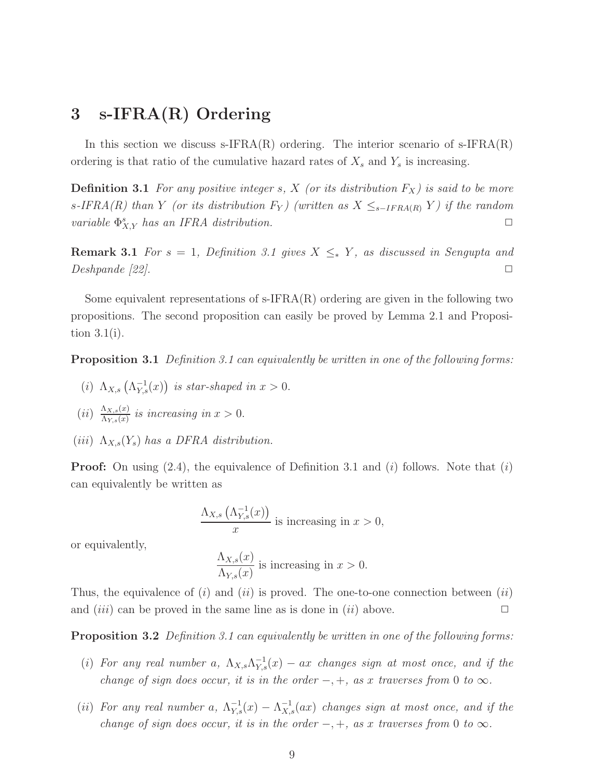# 3 s-IFRA(R) Ordering

In this section we discuss s-IFRA $(R)$  ordering. The interior scenario of s-IFRA $(R)$ ordering is that ratio of the cumulative hazard rates of  $X_s$  and  $Y_s$  is increasing.

**Definition 3.1** For any positive integer s, X (or its distribution  $F_X$ ) is said to be more s<sup>-IFRA(R)</sup> than Y (or its distribution  $F_Y$ ) (written as  $X \leq_{s-IFRA(R)} Y$ ) if the random *variable*  $\Phi_{X,Y}^s$  *has an IFRA distribution.* 

**Remark 3.1** *For*  $s = 1$ *, Definition 3.1 gives*  $X \leq_{\ast} Y$ *, as discussed in Sengupta and*  $\Box$  Deshpande [22].

Some equivalent representations of  $\text{s-IFRA}(R)$  ordering are given in the following two propositions. The second proposition can easily be proved by Lemma 2.1 and Proposition 3.1(i).

Proposition 3.1 *Definition 3.1 can equivalently be written in one of the following forms:*

- (*i*)  $\Lambda_{X,s} \left( \Lambda_{Y,s}^{-1}(x) \right)$  *is star-shaped in*  $x > 0$ .
- $(ii) \frac{\Lambda_{X,s}(x)}{\Lambda_{Y,s}(x)}$  $\frac{\Delta X, s(x)}{\Delta Y, s(x)}$  is increasing in  $x > 0$ .
- $(iii)$   $\Lambda_{X,s}(Y_s)$  has a DFRA distribution.

**Proof:** On using  $(2.4)$ , the equivalence of Definition 3.1 and  $(i)$  follows. Note that  $(i)$ can equivalently be written as

$$
\frac{\Lambda_{X,s}\left(\Lambda^{-1}_{Y,s}(x)\right)}{x}
$$
 is increasing in  $x > 0$ ,

or equivalently,

$$
\frac{\Lambda_{X,s}(x)}{\Lambda_{Y,s}(x)}
$$
 is increasing in  $x > 0$ .

Thus, the equivalence of  $(i)$  and  $(ii)$  is proved. The one-to-one connection between  $(ii)$ and  $(iii)$  can be proved in the same line as is done in  $(ii)$  above.

Proposition 3.2 *Definition 3.1 can equivalently be written in one of the following forms:*

- (i) For any real number a,  $\Lambda_{X,s}\Lambda_{Y,s}^{-1}(x)$  ax *changes sign at most once, and if the change of sign does occur, it is in the order*  $-, +$ *, as x traverses from* 0 *to*  $\infty$ *.*
- (ii) For any real number a,  $\Lambda_{Y,s}^{-1}(x) \Lambda_{X,s}^{-1}(ax)$  changes sign at most once, and if the *change of sign does occur, it is in the order*  $-, +$ *, as x traverses from* 0 *to*  $\infty$ *.*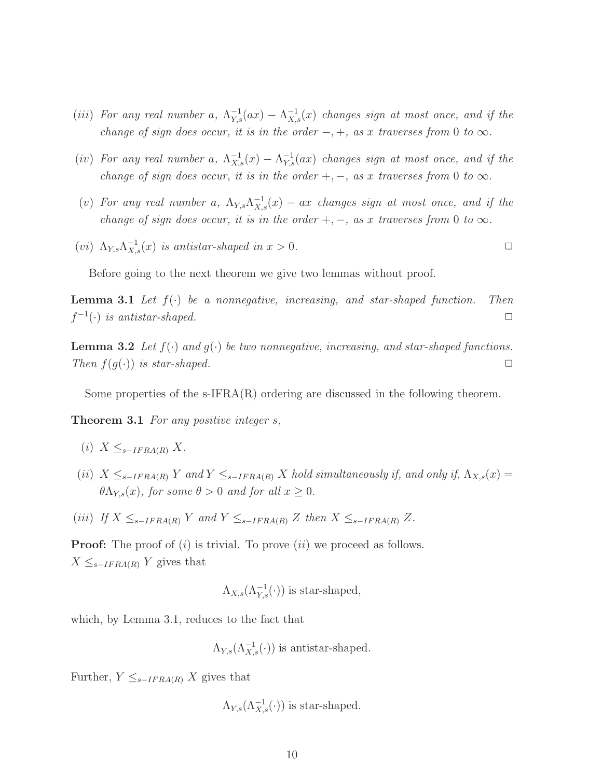- (iii) For any real number a,  $\Lambda_{Y,s}^{-1}(ax) \Lambda_{X,s}^{-1}(x)$  changes sign at most once, and if the *change of sign does occur, it is in the order*  $-, +$ *, as x traverses from* 0 *to*  $\infty$ *.*
- (iv) For any real number a,  $\Lambda_{X,s}^{-1}(x) \Lambda_{Y,s}^{-1}(ax)$  changes sign at most once, and if the *change of sign does occur, it is in the order*  $+$ *,*  $-$ *, as x traverses from* 0 *to*  $\infty$ *.*
- (v) For any real number a,  $\Lambda_{Y,s}\Lambda_{X,s}^{-1}(x)$  ax *changes sign at most once, and if the change of sign does occur, it is in the order* +,  $-$ *, as x traverses from* 0 *to*  $\infty$ *.*
- (*vi*)  $\Lambda_{Y,s}\Lambda_{X,s}^{-1}(x)$  *is antistar-shaped in*  $x > 0$ .

Before going to the next theorem we give two lemmas without proof.

Lemma 3.1 *Let* f(·) *be a nonnegative, increasing, and star-shaped function. Then*  $f^{-1}(\cdot)$  *is antistar-shaped.*  $\square$ 

**Lemma 3.2** Let  $f(\cdot)$  and  $g(\cdot)$  be two nonnegative, increasing, and star-shaped functions. *Then*  $f(g(\cdot))$  *is star-shaped.*  $\Box$ 

Some properties of the  $\text{s-IFRA}(R)$  ordering are discussed in the following theorem.

Theorem 3.1 *For any positive integer* s*,*

- $(i)$   $X \leq_{s-IFRA(R)} X$ .
- (ii)  $X \leq_{s-IFRA(R)} Y$  and  $Y \leq_{s-IFRA(R)} X$  hold simultaneously if, and only if,  $\Lambda_{X,s}(x) =$  $\theta \Lambda_{Y,s}(x)$ *, for some*  $\theta > 0$  *and for all*  $x \geq 0$ *.*
- (iii) *If*  $X \leq_{s-IFRA(R)} Y$  and  $Y \leq_{s-IFRA(R)} Z$  *then*  $X \leq_{s-IFRA(R)} Z$ .

**Proof:** The proof of  $(i)$  is trivial. To prove  $(ii)$  we proceed as follows.  $X \leq_{s-IFRA(R)} Y$  gives that

 $\Lambda_{X,s}(\Lambda_{Y,s}^{-1}(\cdot))$  is star-shaped,

which, by Lemma 3.1, reduces to the fact that

 $\Lambda_{Y,s}(\Lambda_{X,s}^{-1}(\cdot))$  is antistar-shaped.

Further,  $Y \leq_{s-IFRA(R)} X$  gives that

 $\Lambda_{Y,s}(\Lambda_{X,s}^{-1}(\cdot))$  is star-shaped.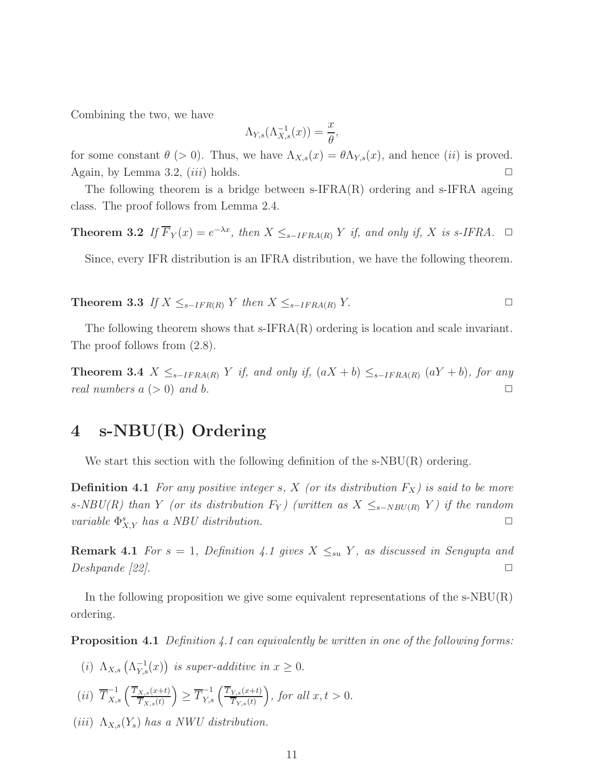Combining the two, we have

$$
\Lambda_{Y,s}(\Lambda_{X,s}^{-1}(x)) = \frac{x}{\theta},
$$

for some constant  $\theta$  (> 0). Thus, we have  $\Lambda_{X,s}(x) = \theta \Lambda_{Y,s}(x)$ , and hence *(ii)* is proved. Again, by Lemma 3.2,  $(iii)$  holds.  $\Box$ 

The following theorem is a bridge between  $\text{s-IFRA}(R)$  ordering and  $\text{s-IFRA}$  ageing class. The proof follows from Lemma 2.4.

**Theorem 3.2** If  $\overline{F}_Y(x) = e^{-\lambda x}$ , then  $X \leq_{s-IFRA(R)} Y$  if, and only if, X is s-IFRA.  $\Box$ 

Since, every IFR distribution is an IFRA distribution, we have the following theorem.

**Theorem 3.3** *If*  $X \leq_{s-IFR(R)} Y$  *then*  $X \leq_{s-IFRA(R)} Y$ . □

The following theorem shows that  $\text{S-IFRA}(R)$  ordering is location and scale invariant. The proof follows from (2.8).

Theorem 3.4  $X ≤_{s-IFRA(R)} Y$  *if, and only if,*  $(aX + b) ≤_{s-IFRA(R)} (aY + b)$ *, for any real numbers*  $a \geq 0$  *and*  $b$ .

# 4 s-NBU(R) Ordering

We start this section with the following definition of the s-NBU(R) ordering.

**Definition 4.1** For any positive integer s, X (or its distribution  $F_X$ ) is said to be more s-NBU(R) than Y (or its distribution  $F_Y$ ) (written as  $X \leq_{s-NBU(R)} Y$ ) if the random *variable*  $\Phi_{X,Y}^s$  *has a NBU distribution.* 

**Remark 4.1** *For*  $s = 1$ *, Definition 4.1 gives*  $X \leq_{su} Y$ *, as discussed in Sengupta and Deshpande [22].* □

In the following proposition we give some equivalent representations of the  $s\text{-}NBU(R)$ ordering.

Proposition 4.1 *Definition 4.1 can equivalently be written in one of the following forms:*

(i)  $\Lambda_{X,s} \left( \Lambda_{Y,s}^{-1}(x) \right)$  is super-additive in  $x \geq 0$ .

$$
(ii) \ \overline{T}_{X,s}^{-1}\left(\frac{\overline{T}_{X,s}(x+t)}{\overline{T}_{X,s}(t)}\right) \ge \overline{T}_{Y,s}^{-1}\left(\frac{\overline{T}_{Y,s}(x+t)}{\overline{T}_{Y,s}(t)}\right), \text{ for all } x, t > 0.
$$

(*iii*)  $\Lambda_{X,s}(Y_s)$  *has a NWU distribution.*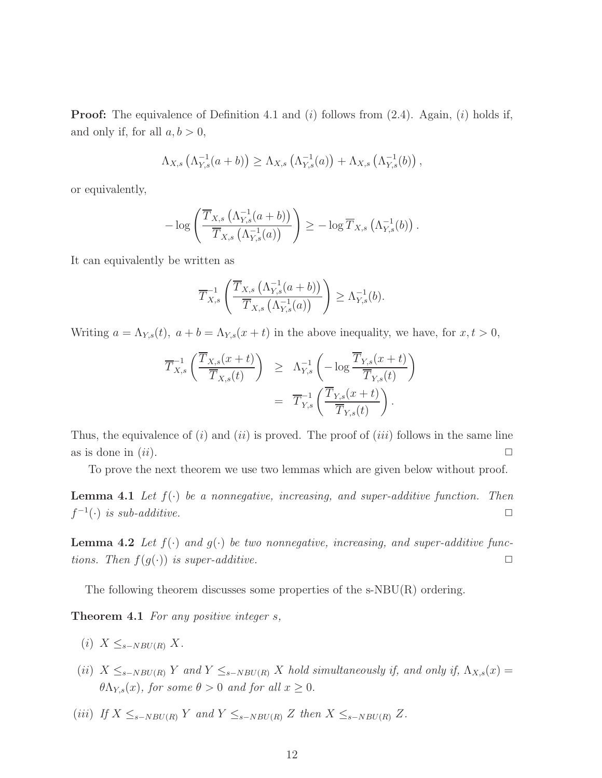**Proof:** The equivalence of Definition 4.1 and  $(i)$  follows from  $(2.4)$ . Again,  $(i)$  holds if, and only if, for all  $a, b > 0$ ,

$$
\Lambda_{X,s}\left(\Lambda_{Y,s}^{-1}(a+b)\right) \geq \Lambda_{X,s}\left(\Lambda_{Y,s}^{-1}(a)\right) + \Lambda_{X,s}\left(\Lambda_{Y,s}^{-1}(b)\right),
$$

or equivalently,

$$
-\log\left(\frac{\overline{T}_{X,s}\left(\Lambda^{-1}_{Y,s}(a+b)\right)}{\overline{T}_{X,s}\left(\Lambda^{-1}_{Y,s}(a)\right)}\right) \geq -\log \overline{T}_{X,s}\left(\Lambda^{-1}_{Y,s}(b)\right).
$$

It can equivalently be written as

$$
\overline{T}_{X,s}^{-1}\left(\frac{\overline{T}_{X,s}\left(\Lambda_{Y,s}^{-1}(a+b)\right)}{\overline{T}_{X,s}\left(\Lambda_{Y,s}^{-1}(a)\right)}\right) \geq \Lambda_{Y,s}^{-1}(b).
$$

Writing  $a = \Lambda_{Y,s}(t)$ ,  $a + b = \Lambda_{Y,s}(x + t)$  in the above inequality, we have, for  $x, t > 0$ ,

$$
\overline{T}_{X,s}^{-1}\left(\frac{\overline{T}_{X,s}(x+t)}{\overline{T}_{X,s}(t)}\right) \geq \Lambda_{Y,s}^{-1}\left(-\log\frac{\overline{T}_{Y,s}(x+t)}{\overline{T}_{Y,s}(t)}\right)
$$

$$
= \overline{T}_{Y,s}^{-1}\left(\frac{\overline{T}_{Y,s}(x+t)}{\overline{T}_{Y,s}(t)}\right).
$$

Thus, the equivalence of  $(i)$  and  $(ii)$  is proved. The proof of  $(iii)$  follows in the same line as is done in  $(ii)$ .

To prove the next theorem we use two lemmas which are given below without proof.

**Lemma 4.1** Let  $f(\cdot)$  be a nonnegative, increasing, and super-additive function. Then  $f^{-1}(\cdot)$  *is sub-additive.*  $\Box$ 

**Lemma 4.2** Let  $f(\cdot)$  and  $g(\cdot)$  be two nonnegative, increasing, and super-additive func*tions. Then*  $f(g(\cdot))$  *is super-additive.*  $\Box$ 

The following theorem discusses some properties of the  $s\text{-}NBU(R)$  ordering.

Theorem 4.1 *For any positive integer* s*,*

- (i)  $X \leq_{s-NBU(R)} X$ .
- (ii)  $X \leq_{s-NBU(R)} Y$  and  $Y \leq_{s-NBU(R)} X$  hold simultaneously if, and only if,  $\Lambda_{X,s}(x) =$  $\theta \Lambda_{Y,s}(x)$ *, for some*  $\theta > 0$  *and for all*  $x \geq 0$ *.*
- (iii) *If*  $X \leq_{s-NBU(R)} Y$  *and*  $Y \leq_{s-NBU(R)} Z$  *then*  $X \leq_{s-NBU(R)} Z$ *.*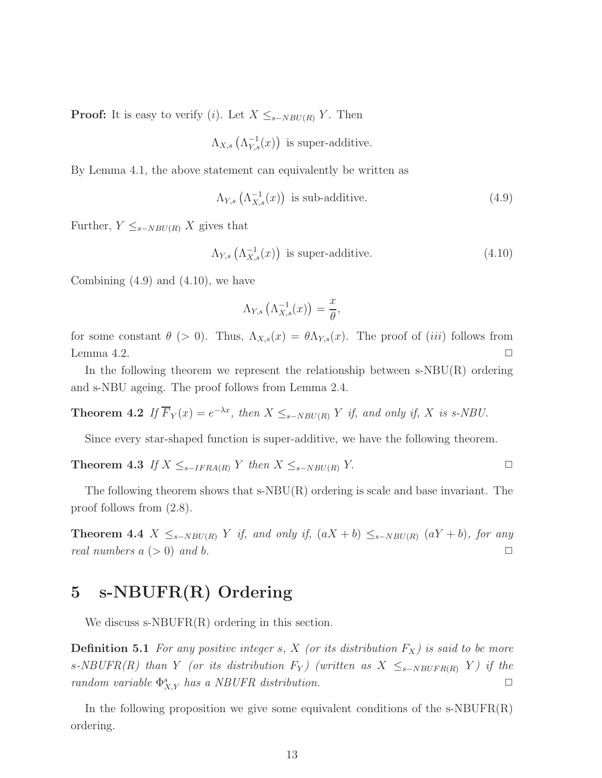**Proof:** It is easy to verify (i). Let  $X \leq_{s-NBU(R)} Y$ . Then

$$
\Lambda_{X,s}\left(\Lambda^{-1}_{Y,s}(x)\right)
$$
 is super-additive.

By Lemma 4.1, the above statement can equivalently be written as

$$
\Lambda_{Y,s}\left(\Lambda_{X,s}^{-1}(x)\right) \text{ is sub-additive.} \tag{4.9}
$$

Further,  $Y \leq_{s-NBU(R)} X$  gives that

$$
\Lambda_{Y,s}\left(\Lambda_{X,s}^{-1}(x)\right) \text{ is super-additive.} \tag{4.10}
$$

Combining  $(4.9)$  and  $(4.10)$ , we have

$$
\Lambda_{Y,s}\left(\Lambda_{X,s}^{-1}(x)\right) = \frac{x}{\theta},
$$

for some constant  $\theta$  (> 0). Thus,  $\Lambda_{X,s}(x) = \theta \Lambda_{Y,s}(x)$ . The proof of (iii) follows from Lemma 4.2.  $\Box$ 

In the following theorem we represent the relationship between  $s\text{-}NBU(R)$  ordering and s-NBU ageing. The proof follows from Lemma 2.4.

**Theorem 4.2** If  $\overline{F}_Y(x) = e^{-\lambda x}$ , then  $X \leq_{s-NBU(R)} Y$  if, and only if, X is s-NBU.

Since every star-shaped function is super-additive, we have the following theorem.

**Theorem 4.3** *If*  $X \leq_{s-IFRA(R)} Y$  *then*  $X \leq_{s-NBU(R)} Y$ . □

The following theorem shows that  $s-NBU(R)$  ordering is scale and base invariant. The proof follows from (2.8).

**Theorem 4.4**  $X ≤ s-NBU(R)$   $Y$  *if, and only if,*  $(aX + b) ≤ s-NBU(R)$   $(aY + b)$ *, for any real numbers*  $a \geq 0$  *and*  $b$ .

# 5 s-NBUFR(R) Ordering

We discuss s-NBUFR(R) ordering in this section.

**Definition 5.1** For any positive integer s, X (or its distribution  $F_X$ ) is said to be more s-NBUFR(R) than Y *(or its distribution*  $F_Y$ *) (written as*  $X \leq_{s-NBUFR(R)} Y$ *) if the random variable*  $\Phi_{X,Y}^s$  *has a NBUFR distribution.* 

In the following proposition we give some equivalent conditions of the  $s\text{-}NBUFR(R)$ ordering.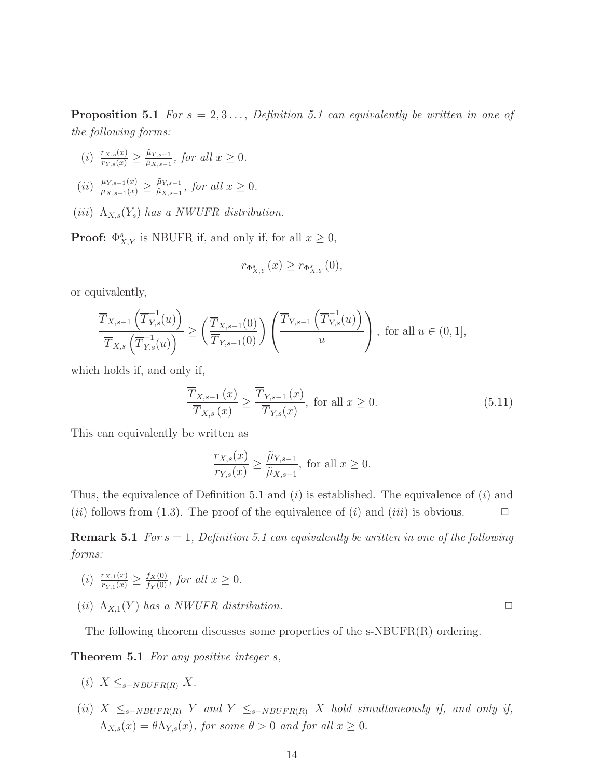**Proposition 5.1** *For*  $s = 2, 3, \ldots$ , *Definition 5.1 can equivalently be written in one of the following forms:*

- $(i)$   $\frac{r_{X,s}(x)}{r_{Y,s}(x)} \geq \frac{\tilde{\mu}_{Y,s-1}}{\tilde{\mu}_{X,s-1}}$  $\frac{\mu_{Y,s-1}}{\tilde{\mu}_{X,s-1}}$ *, for all*  $x \geq 0$ *.*
- $(ii)$   $\frac{\mu_{Y,s-1}(x)}{\mu_{X,s-1}(x)} \geq \frac{\tilde{\mu}_{Y,s-1}}{\tilde{\mu}_{X,s-1}}$  $\frac{\mu_{Y,s-1}}{\tilde{\mu}_{X,s-1}}$ *, for all*  $x \geq 0$ *.*
- (iii)  $\Lambda_{X,s}(Y_s)$  has a NWUFR distribution.

**Proof:**  $\Phi_{X,Y}^s$  is NBUFR if, and only if, for all  $x \geq 0$ ,

$$
r_{\Phi_{X,Y}^s}(x) \ge r_{\Phi_{X,Y}^s}(0),
$$

or equivalently,

$$
\frac{\overline{T}_{X,s-1}\left(\overline{T}_{Y,s}^{-1}(u)\right)}{\overline{T}_{X,s}\left(\overline{T}_{Y,s}^{-1}(u)\right)} \ge \left(\frac{\overline{T}_{X,s-1}(0)}{\overline{T}_{Y,s-1}(0)}\right)\left(\frac{\overline{T}_{Y,s-1}\left(\overline{T}_{Y,s}^{-1}(u)\right)}{u}\right), \text{ for all } u \in (0,1],
$$

which holds if, and only if,

$$
\frac{\overline{T}_{X,s-1}(x)}{\overline{T}_{X,s}(x)} \ge \frac{\overline{T}_{Y,s-1}(x)}{\overline{T}_{Y,s}(x)}, \text{ for all } x \ge 0.
$$
\n
$$
(5.11)
$$

This can equivalently be written as

$$
\frac{r_{X,s}(x)}{r_{Y,s}(x)} \ge \frac{\tilde{\mu}_{Y,s-1}}{\tilde{\mu}_{X,s-1}}, \text{ for all } x \ge 0.
$$

Thus, the equivalence of Definition 5.1 and  $(i)$  is established. The equivalence of  $(i)$  and (*ii*) follows from (1.3). The proof of the equivalence of (*i*) and (*iii*) is obvious.  $\Box$ 

**Remark 5.1** *For*  $s = 1$ *, Definition 5.1 can equivalently be written in one of the following forms:*

- (i)  $\frac{r_{X,1}(x)}{r_{Y,1}(x)} \ge \frac{f_X(0)}{f_Y(0)}$ , for all  $x \ge 0$ .
- (*ii*)  $\Lambda_{X,1}(Y)$  *has a NWUFR distribution.*

The following theorem discusses some properties of the s-NBUFR(R) ordering.

Theorem 5.1 *For any positive integer* s*,*

- $(i)$   $X \leq_{s-NBUFR(R)} X$ .
- (ii)  $X \leq_{s-NBUFR(R)} Y$  and  $Y \leq_{s-NBUFR(R)} X$  *hold simultaneously if, and only if,*  $\Lambda_{X,s}(x) = \theta \Lambda_{Y,s}(x)$ , for some  $\theta > 0$  and for all  $x \geq 0$ .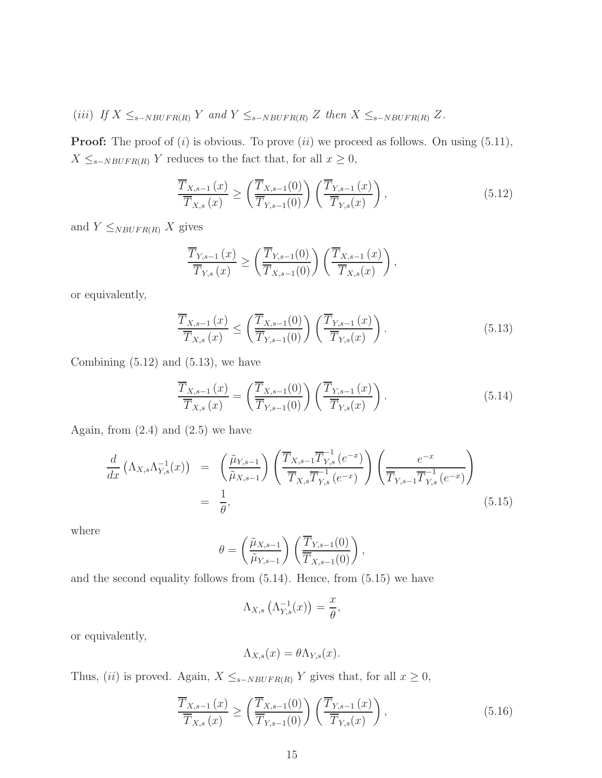(iii) *If*  $X \leq_{s-NBUFR(R)} Y$  and  $Y \leq_{s-NBUFR(R)} Z$  *then*  $X \leq_{s-NBUFR(R)} Z$ *.* 

**Proof:** The proof of  $(i)$  is obvious. To prove  $(ii)$  we proceed as follows. On using  $(5.11)$ ,  $X \leq_{s-NBUFR(R)} Y$  reduces to the fact that, for all  $x \geq 0$ ,

$$
\frac{\overline{T}_{X,s-1}(x)}{\overline{T}_{X,s}(x)} \ge \left(\frac{\overline{T}_{X,s-1}(0)}{\overline{T}_{Y,s-1}(0)}\right) \left(\frac{\overline{T}_{Y,s-1}(x)}{\overline{T}_{Y,s}(x)}\right),\tag{5.12}
$$

and  $Y \leq_{NBUFR(R)} X$  gives

$$
\frac{\overline{T}_{Y,s-1}(x)}{\overline{T}_{Y,s}(x)} \ge \left(\frac{\overline{T}_{Y,s-1}(0)}{\overline{T}_{X,s-1}(0)}\right) \left(\frac{\overline{T}_{X,s-1}(x)}{\overline{T}_{X,s}(x)}\right),
$$

or equivalently,

$$
\frac{\overline{T}_{X,s-1}(x)}{\overline{T}_{X,s}(x)} \le \left(\frac{\overline{T}_{X,s-1}(0)}{\overline{T}_{Y,s-1}(0)}\right) \left(\frac{\overline{T}_{Y,s-1}(x)}{\overline{T}_{Y,s}(x)}\right). \tag{5.13}
$$

Combining  $(5.12)$  and  $(5.13)$ , we have

$$
\frac{\overline{T}_{X,s-1}(x)}{\overline{T}_{X,s}(x)} = \left(\frac{\overline{T}_{X,s-1}(0)}{\overline{T}_{Y,s-1}(0)}\right) \left(\frac{\overline{T}_{Y,s-1}(x)}{\overline{T}_{Y,s}(x)}\right). \tag{5.14}
$$

Again, from  $(2.4)$  and  $(2.5)$  we have

$$
\frac{d}{dx} \left( \Lambda_{X,s} \Lambda_{Y,s}^{-1}(x) \right) = \left( \frac{\tilde{\mu}_{Y,s-1}}{\tilde{\mu}_{X,s-1}} \right) \left( \frac{\overline{T}_{X,s-1} \overline{T}_{Y,s}^{-1} (e^{-x})}{\overline{T}_{X,s} \overline{T}_{Y,s}^{-1} (e^{-x})} \right) \left( \frac{e^{-x}}{\overline{T}_{Y,s-1} \overline{T}_{Y,s}^{-1} (e^{-x})} \right)
$$
\n
$$
= \frac{1}{\theta}, \tag{5.15}
$$

where

$$
\theta = \left(\frac{\tilde{\mu}_{X,s-1}}{\tilde{\mu}_{Y,s-1}}\right) \left(\frac{\overline{T}_{Y,s-1}(0)}{\overline{T}_{X,s-1}(0)}\right),
$$

and the second equality follows from (5.14). Hence, from (5.15) we have

$$
\Lambda_{X,s}\left(\Lambda^{-1}_{Y,s}(x)\right) = \frac{x}{\theta},
$$

or equivalently,

$$
\Lambda_{X,s}(x) = \theta \Lambda_{Y,s}(x).
$$

Thus, (ii) is proved. Again,  $X \leq_{s-NBUFR(R)} Y$  gives that, for all  $x \geq 0$ ,

$$
\frac{\overline{T}_{X,s-1}(x)}{\overline{T}_{X,s}(x)} \ge \left(\frac{\overline{T}_{X,s-1}(0)}{\overline{T}_{Y,s-1}(0)}\right) \left(\frac{\overline{T}_{Y,s-1}(x)}{\overline{T}_{Y,s}(x)}\right),\tag{5.16}
$$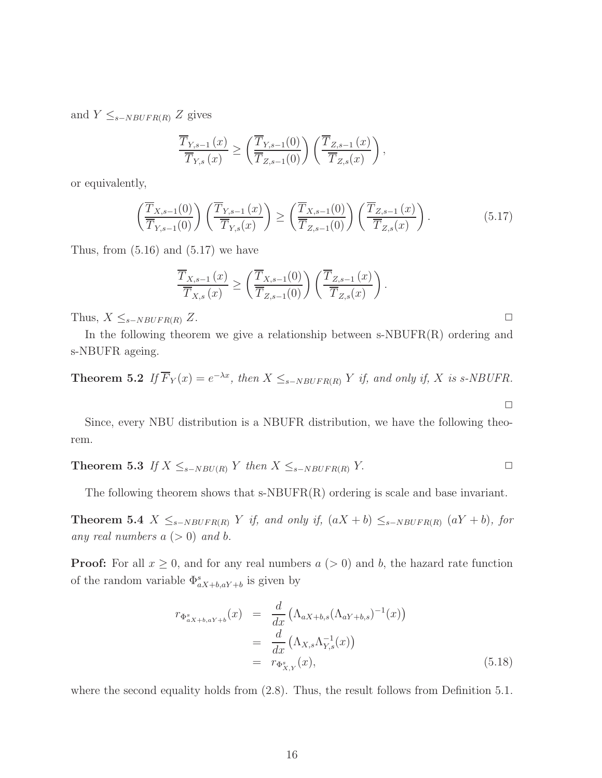and  $Y \leq_{s-NBUFR(R)} Z$  gives

$$
\frac{\overline{T}_{Y,s-1}(x)}{\overline{T}_{Y,s}(x)} \ge \left(\frac{\overline{T}_{Y,s-1}(0)}{\overline{T}_{Z,s-1}(0)}\right) \left(\frac{\overline{T}_{Z,s-1}(x)}{\overline{T}_{Z,s}(x)}\right),
$$

or equivalently,

$$
\left(\frac{\overline{T}_{X,s-1}(0)}{\overline{T}_{Y,s-1}(0)}\right)\left(\frac{\overline{T}_{Y,s-1}(x)}{\overline{T}_{Y,s}(x)}\right) \ge \left(\frac{\overline{T}_{X,s-1}(0)}{\overline{T}_{Z,s-1}(0)}\right)\left(\frac{\overline{T}_{Z,s-1}(x)}{\overline{T}_{Z,s}(x)}\right). \tag{5.17}
$$

Thus, from  $(5.16)$  and  $(5.17)$  we have

$$
\frac{\overline{T}_{X,s-1}(x)}{\overline{T}_{X,s}(x)} \ge \left(\frac{\overline{T}_{X,s-1}(0)}{\overline{T}_{Z,s-1}(0)}\right) \left(\frac{\overline{T}_{Z,s-1}(x)}{\overline{T}_{Z,s}(x)}\right).
$$

Thus,  $X \leq_{s-NBUFR(R)} Z$ .  $\Box$ 

In the following theorem we give a relationship between  $s\text{-}NBUFR(R)$  ordering and s-NBUFR ageing.

**Theorem 5.2** If  $\overline{F}_Y(x) = e^{-\lambda x}$ , then  $X \leq_{s-NBUFR(R)} Y$  if, and only if, X is s-NBUFR.

Since, every NBU distribution is a NBUFR distribution, we have the following theorem.

**Theorem 5.3** *If*  $X \leq_{s-NBU(R)} Y$  *then*  $X \leq_{s-NBUFR(R)} Y$ . □

The following theorem shows that  $s\text{-}NBUFR(R)$  ordering is scale and base invariant.

Theorem 5.4  $X ≤ s-NBUFR(R) Y$  *if, and only if,*  $(aX + b) ≤ s-NBUFR(R) (aY + b)$ *, for any real numbers*  $a (> 0)$  *and b*.

**Proof:** For all  $x \geq 0$ , and for any real numbers  $a (> 0)$  and b, the hazard rate function of the random variable  $\Phi_{aX+b,aY+b}^{s}$  is given by

$$
r_{\Phi_{aX+b,aY+b}^{s}}(x) = \frac{d}{dx} \left( \Lambda_{aX+b,s} (\Lambda_{aY+b,s})^{-1}(x) \right)
$$
  
= 
$$
\frac{d}{dx} \left( \Lambda_{X,s} \Lambda_{Y,s}^{-1}(x) \right)
$$
  
= 
$$
r_{\Phi_{X,Y}^{s}}(x), \qquad (5.18)
$$

 $\Box$ 

where the second equality holds from  $(2.8)$ . Thus, the result follows from Definition 5.1.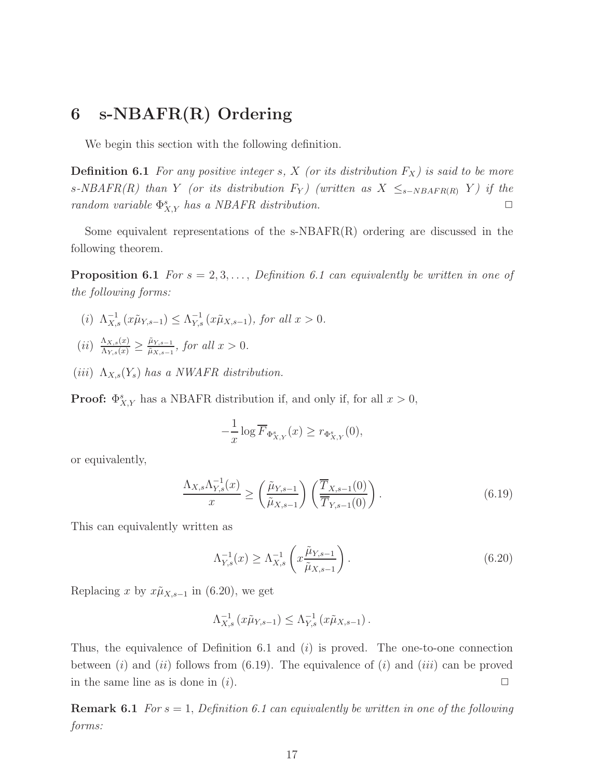# 6 s-NBAFR(R) Ordering

We begin this section with the following definition.

**Definition 6.1** For any positive integer s, X (or its distribution  $F_X$ ) is said to be more s-NBAFR(R) than Y *(or its distribution*  $F_Y$ *) (written as*  $X \leq_{s-NBAFR(R)} Y$ *) if the random variable*  $\Phi_{X,Y}^s$  *has a NBAFR distribution.* 

Some equivalent representations of the  $s$ -NBAFR $(R)$  ordering are discussed in the following theorem.

**Proposition 6.1** *For*  $s = 2, 3, \ldots$ , *Definition 6.1 can equivalently be written in one of the following forms:*

- (*i*)  $\Lambda_{X,s}^{-1} (x\tilde{\mu}_{Y,s-1}) \leq \Lambda_{Y,s}^{-1} (x\tilde{\mu}_{X,s-1}),$  for all  $x > 0$ .
- $(ii) \frac{\Lambda_{X,s}(x)}{\Lambda_{Y,s}(x)} \geq \frac{\tilde{\mu}_{Y,s-1}}{\tilde{\mu}_{X,s-1}}$  $\frac{\mu_{Y,s-1}}{\tilde{\mu}_{X,s-1}}$ *, for all*  $x > 0$ *.*
- (*iii*)  $\Lambda_{X,s}(Y_s)$  *has a NWAFR distribution.*

**Proof:**  $\Phi_{X,Y}^s$  has a NBAFR distribution if, and only if, for all  $x > 0$ ,

$$
-\frac{1}{x}\log \overline{F}_{\Phi_{X,Y}^s}(x) \ge r_{\Phi_{X,Y}^s}(0),
$$

or equivalently,

$$
\frac{\Lambda_{X,s}\Lambda_{Y,s}^{-1}(x)}{x} \ge \left(\frac{\tilde{\mu}_{Y,s-1}}{\tilde{\mu}_{X,s-1}}\right) \left(\frac{\overline{T}_{X,s-1}(0)}{\overline{T}_{Y,s-1}(0)}\right). \tag{6.19}
$$

This can equivalently written as

$$
\Lambda_{Y,s}^{-1}(x) \ge \Lambda_{X,s}^{-1}\left(x \frac{\tilde{\mu}_{Y,s-1}}{\tilde{\mu}_{X,s-1}}\right).
$$
\n(6.20)

Replacing x by  $x\tilde{\mu}_{X,s-1}$  in (6.20), we get

$$
\Lambda_{X,s}^{-1} \left( x\tilde{\mu}_{Y,s-1} \right) \leq \Lambda_{Y,s}^{-1} \left( x\tilde{\mu}_{X,s-1} \right).
$$

Thus, the equivalence of Definition 6.1 and  $(i)$  is proved. The one-to-one connection between (i) and (ii) follows from (6.19). The equivalence of (i) and (iii) can be proved in the same line as is done in  $(i)$ .

Remark 6.1 *For* s = 1, *Definition 6.1 can equivalently be written in one of the following forms:*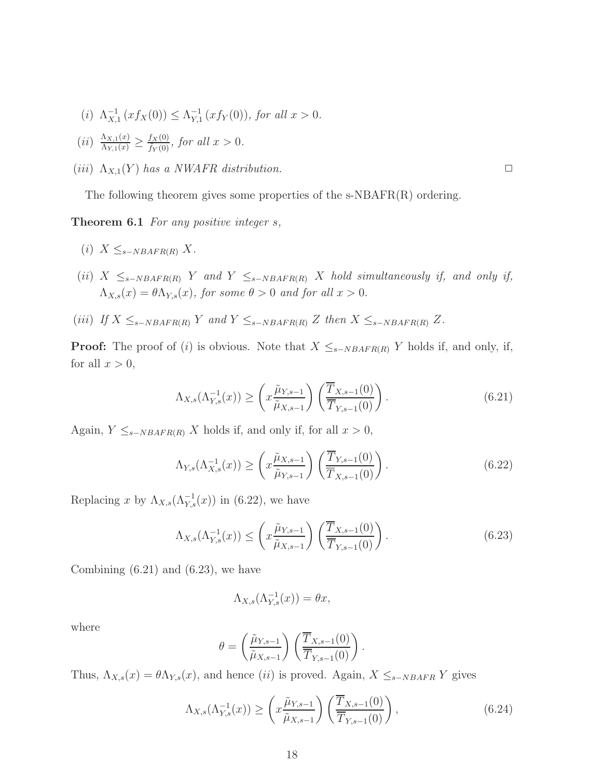- (*i*)  $\Lambda_{X,1}^{-1}(xf_X(0)) \leq \Lambda_{Y,1}^{-1}$  $\sum_{Y,1}^{-1} (xf_Y(0)),$  for all  $x > 0$ .
- $(ii) \frac{\Lambda_{X,1}(x)}{\Lambda_{Y,1}(x)} \geq \frac{f_X(0)}{\tilde{f}_Y(0)}$  $\frac{f_{X}(0)}{\tilde{f}_{Y}(0)}$ *, for all*  $x > 0$ *.*
- $(iii)$   $\Lambda_{X,1}(Y)$  *has a NWAFR distribution.*

The following theorem gives some properties of the  $s\text{-}NBAFR(R)$  ordering.

Theorem 6.1 *For any positive integer* s*,*

- $(i)$   $X \leq_{s-NBAFR(R)} X$ .
- $(ii)$  X  $\leq_{s-NBAFR(R)}$  Y and Y  $\leq_{s-NBAFR(R)}$  X *hold simultaneously if, and only if,*  $\Lambda_{X,s}(x) = \theta \Lambda_{Y,s}(x)$ , for some  $\theta > 0$  and for all  $x > 0$ .
- (iii) *If*  $X \leq_{s-NBAFR(R)} Y$  and  $Y \leq_{s-NBAFR(R)} Z$  *then*  $X \leq_{s-NBAFR(R)} Z$ .

**Proof:** The proof of (i) is obvious. Note that  $X \leq_{s-NBAFR(R)} Y$  holds if, and only, if, for all  $x > 0$ ,

$$
\Lambda_{X,s}(\Lambda_{Y,s}^{-1}(x)) \ge \left(x \frac{\tilde{\mu}_{Y,s-1}}{\tilde{\mu}_{X,s-1}}\right) \left(\frac{\overline{T}_{X,s-1}(0)}{\overline{T}_{Y,s-1}(0)}\right). \tag{6.21}
$$

Again,  $Y \leq_{s-NBAFR(R)} X$  holds if, and only if, for all  $x > 0$ ,

$$
\Lambda_{Y,s}(\Lambda_{X,s}^{-1}(x)) \ge \left(x \frac{\tilde{\mu}_{X,s-1}}{\tilde{\mu}_{Y,s-1}}\right) \left(\frac{\overline{T}_{Y,s-1}(0)}{\overline{T}_{X,s-1}(0)}\right). \tag{6.22}
$$

Replacing x by  $\Lambda_{X,s}(\Lambda_{Y,s}^{-1}(x))$  in (6.22), we have

$$
\Lambda_{X,s}(\Lambda_{Y,s}^{-1}(x)) \le \left(x \frac{\tilde{\mu}_{Y,s-1}}{\tilde{\mu}_{X,s-1}}\right) \left(\frac{\overline{T}_{X,s-1}(0)}{\overline{T}_{Y,s-1}(0)}\right). \tag{6.23}
$$

Combining  $(6.21)$  and  $(6.23)$ , we have

$$
\Lambda_{X,s}(\Lambda_{Y,s}^{-1}(x)) = \theta x,
$$

where

$$
\theta = \left(\frac{\tilde{\mu}_{Y,s-1}}{\tilde{\mu}_{X,s-1}}\right) \left(\frac{\overline{T}_{X,s-1}(0)}{\overline{T}_{Y,s-1}(0)}\right).
$$

Thus,  $\Lambda_{X,s}(x) = \theta \Lambda_{Y,s}(x)$ , and hence (ii) is proved. Again,  $X \leq_{s-NBAFR} Y$  gives

$$
\Lambda_{X,s}(\Lambda_{Y,s}^{-1}(x)) \ge \left(x \frac{\tilde{\mu}_{Y,s-1}}{\tilde{\mu}_{X,s-1}}\right) \left(\frac{\overline{T}_{X,s-1}(0)}{\overline{T}_{Y,s-1}(0)}\right),\tag{6.24}
$$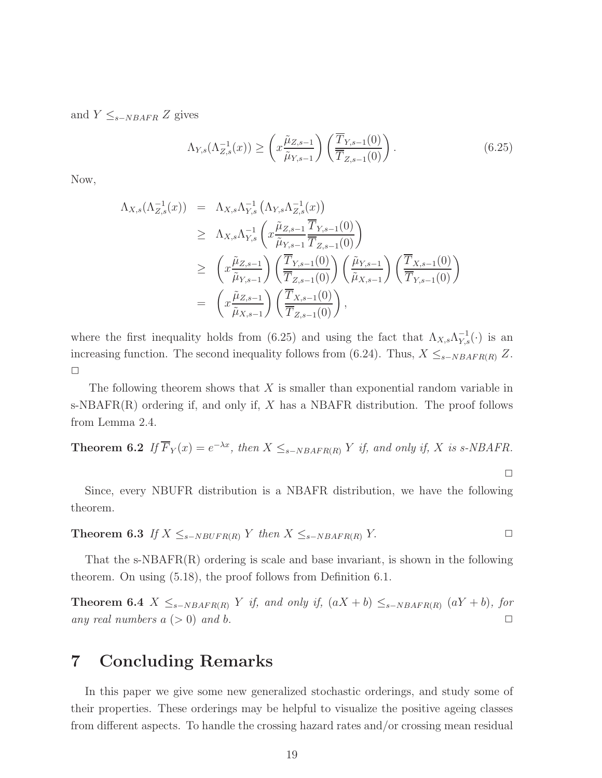and  $Y \leq_{s-NBAFR} Z$  gives

$$
\Lambda_{Y,s}(\Lambda_{Z,s}^{-1}(x)) \ge \left(x \frac{\tilde{\mu}_{Z,s-1}}{\tilde{\mu}_{Y,s-1}}\right) \left(\frac{\overline{T}_{Y,s-1}(0)}{\overline{T}_{Z,s-1}(0)}\right). \tag{6.25}
$$

Now,

$$
\Lambda_{X,s}(\Lambda_{Z,s}^{-1}(x)) = \Lambda_{X,s}\Lambda_{Y,s}^{-1} (\Lambda_{Y,s}\Lambda_{Z,s}^{-1}(x)) \n\geq \Lambda_{X,s}\Lambda_{Y,s}^{-1} \left( x \frac{\tilde{\mu}_{Z,s-1}}{\tilde{\mu}_{Y,s-1}} \frac{\overline{T}_{Y,s-1}(0)}{\overline{T}_{Z,s-1}(0)} \right) \n\geq \left( x \frac{\tilde{\mu}_{Z,s-1}}{\tilde{\mu}_{Y,s-1}} \right) \left( \frac{\overline{T}_{Y,s-1}(0)}{\overline{T}_{Z,s-1}(0)} \right) \left( \frac{\tilde{\mu}_{Y,s-1}}{\tilde{\mu}_{X,s-1}} \right) \left( \frac{\overline{T}_{X,s-1}(0)}{\overline{T}_{Y,s-1}(0)} \right) \n= \left( x \frac{\tilde{\mu}_{Z,s-1}}{\tilde{\mu}_{X,s-1}} \right) \left( \frac{\overline{T}_{X,s-1}(0)}{\overline{T}_{Z,s-1}(0)} \right),
$$

where the first inequality holds from (6.25) and using the fact that  $\Lambda_{X,s}\Lambda_{Y,s}^{-1}(\cdot)$  is an increasing function. The second inequality follows from (6.24). Thus,  $X \leq_{s-NBAFR(R)} Z$ .  $\Box$ 

The following theorem shows that  $X$  is smaller than exponential random variable in s-NBAFR $(R)$  ordering if, and only if, X has a NBAFR distribution. The proof follows from Lemma 2.4.

**Theorem 6.2** If 
$$
\overline{F}_Y(x) = e^{-\lambda x}
$$
, then  $X \leq_{s-NBAFR(R)} Y$  if, and only if, X is s-NBAFR.

 $\Box$ 

Since, every NBUFR distribution is a NBAFR distribution, we have the following theorem.

Theorem 6.3 *If*  $X \leq_{s-NBUFR(R)} Y$  *then*  $X \leq_{s-NBAFR(R)} Y$ . □

That the s-NBAFR(R) ordering is scale and base invariant, is shown in the following theorem. On using (5.18), the proof follows from Definition 6.1.

Theorem 6.4  $X ≤ s-NBAFR(R)$  Y *if, and only if,*  $(aX + b) ≤ s-NBAFR(R)$   $(aY + b)$ *, for any real numbers*  $a \geq 0$  *and*  $b$ .

#### 7 Concluding Remarks

In this paper we give some new generalized stochastic orderings, and study some of their properties. These orderings may be helpful to visualize the positive ageing classes from different aspects. To handle the crossing hazard rates and/or crossing mean residual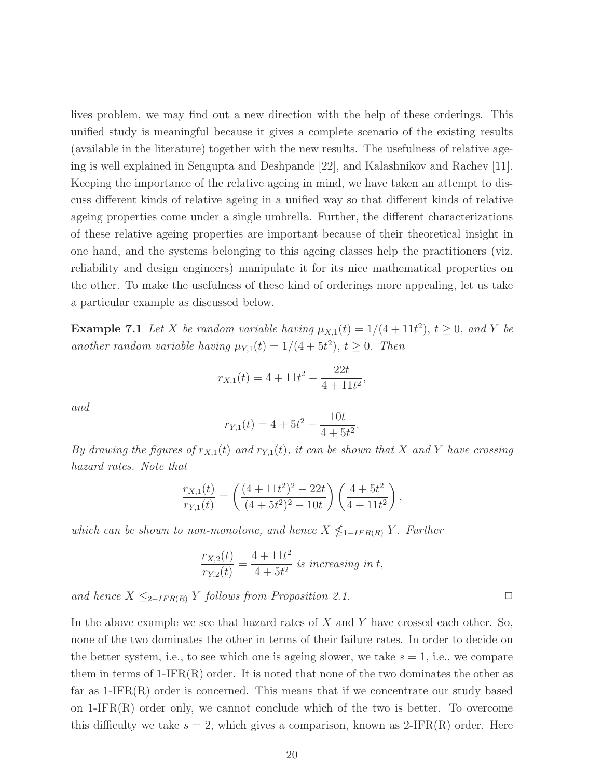lives problem, we may find out a new direction with the help of these orderings. This unified study is meaningful because it gives a complete scenario of the existing results (available in the literature) together with the new results. The usefulness of relative ageing is well explained in Sengupta and Deshpande [22], and Kalashnikov and Rachev [11]. Keeping the importance of the relative ageing in mind, we have taken an attempt to discuss different kinds of relative ageing in a unified way so that different kinds of relative ageing properties come under a single umbrella. Further, the different characterizations of these relative ageing properties are important because of their theoretical insight in one hand, and the systems belonging to this ageing classes help the practitioners (viz. reliability and design engineers) manipulate it for its nice mathematical properties on the other. To make the usefulness of these kind of orderings more appealing, let us take a particular example as discussed below.

**Example 7.1** Let X be random variable having  $\mu_{X,1}(t) = 1/(4+11t^2)$ ,  $t \ge 0$ , and Y be another random variable having  $\mu_{Y,1}(t) = 1/(4+5t^2), t \geq 0$ . Then

$$
r_{X,1}(t) = 4 + 11t^2 - \frac{22t}{4 + 11t^2},
$$

*and*

$$
r_{Y,1}(t) = 4 + 5t^2 - \frac{10t}{4 + 5t^2}.
$$

*By drawing the figures of*  $r_{X,1}(t)$  *and*  $r_{Y,1}(t)$ *, it can be shown that* X *and* Y *have crossing hazard rates. Note that*

$$
\frac{r_{X,1}(t)}{r_{Y,1}(t)} = \left(\frac{(4+11t^2)^2 - 22t}{(4+5t^2)^2 - 10t}\right) \left(\frac{4+5t^2}{4+11t^2}\right),
$$

*which can be shown to non-monotone, and hence*  $X \nleq_{1-IFR(R)} Y$ *. Further* 

$$
\frac{r_{X,2}(t)}{r_{Y,2}(t)} = \frac{4 + 11t^2}{4 + 5t^2}
$$
 is increasing in t,

*and hence*  $X ≤_{2-IFR(R)} Y$  *follows from Proposition 2.1.*  $\Box$ 

In the above example we see that hazard rates of  $X$  and  $Y$  have crossed each other. So, none of the two dominates the other in terms of their failure rates. In order to decide on the better system, i.e., to see which one is ageing slower, we take  $s = 1$ , i.e., we compare them in terms of  $1-IFR(R)$  order. It is noted that none of the two dominates the other as far as  $1-IFR(R)$  order is concerned. This means that if we concentrate our study based on  $1-IFR(R)$  order only, we cannot conclude which of the two is better. To overcome this difficulty we take  $s = 2$ , which gives a comparison, known as 2-IFR(R) order. Here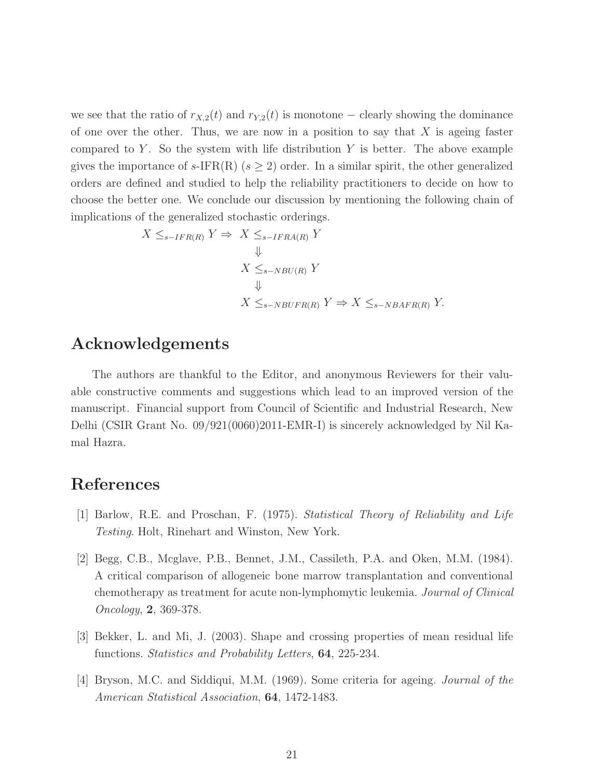we see that the ratio of  $r_{X,2}(t)$  and  $r_{Y,2}(t)$  is monotone – clearly showing the dominance of one over the other. Thus, we are now in a position to say that  $X$  is ageing faster compared to  $Y$ . So the system with life distribution  $Y$  is better. The above example gives the importance of s-IFR(R) ( $s \geq 2$ ) order. In a similar spirit, the other generalized orders are defined and studied to help the reliability practitioners to decide on how to choose the better one. We conclude our discussion by mentioning the following chain of implications of the generalized stochastic orderings.

$$
X \leq_{s-IFR(R)} Y \Rightarrow X \leq_{s-IFRA(R)} Y
$$
  
\n
$$
\Downarrow
$$
  
\n
$$
X \leq_{s-NBU(R)} Y
$$
  
\n
$$
\Downarrow
$$
  
\n
$$
X \leq_{s-NBUFR(R)} Y \Rightarrow X \leq_{s-NBAFR(R)} Y.
$$

## Acknowledgements

The authors are thankful to the Editor, and anonymous Reviewers for their valuable constructive comments and suggestions which lead to an improved version of the manuscript. Financial support from Council of Scientific and Industrial Research, New Delhi (CSIR Grant No. 09/921(0060)2011-EMR-I) is sincerely acknowledged by Nil Kamal Hazra.

# References

- [1] Barlow, R.E. and Proschan, F. (1975). *Statistical Theory of Reliability and Life Testing*. Holt, Rinehart and Winston, New York.
- [2] Begg, C.B., Mcglave, P.B., Bennet, J.M., Cassileth, P.A. and Oken, M.M. (1984). A critical comparison of allogeneic bone marrow transplantation and conventional chemotherapy as treatment for acute non-lymphomytic leukemia. *Journal of Clinical Oncology*, 2, 369-378.
- [3] Bekker, L. and Mi, J. (2003). Shape and crossing properties of mean residual life functions. *Statistics and Probability Letters*, 64, 225-234.
- [4] Bryson, M.C. and Siddiqui, M.M. (1969). Some criteria for ageing. *Journal of the American Statistical Association*, 64, 1472-1483.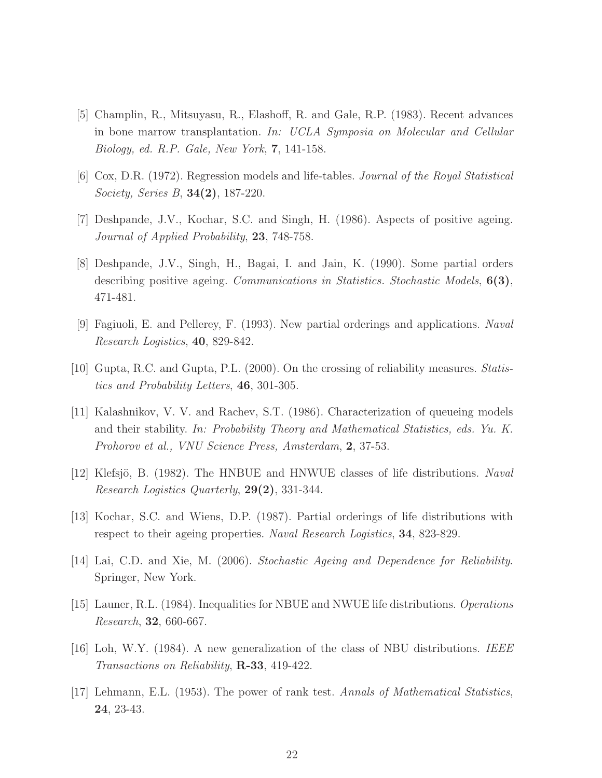- [5] Champlin, R., Mitsuyasu, R., Elashoff, R. and Gale, R.P. (1983). Recent advances in bone marrow transplantation. *In: UCLA Symposia on Molecular and Cellular Biology, ed. R.P. Gale, New York*, 7, 141-158.
- [6] Cox, D.R. (1972). Regression models and life-tables. *Journal of the Royal Statistical Society, Series B*, 34(2), 187-220.
- [7] Deshpande, J.V., Kochar, S.C. and Singh, H. (1986). Aspects of positive ageing. *Journal of Applied Probability*, 23, 748-758.
- [8] Deshpande, J.V., Singh, H., Bagai, I. and Jain, K. (1990). Some partial orders describing positive ageing. *Communications in Statistics. Stochastic Models*, 6(3), 471-481.
- [9] Fagiuoli, E. and Pellerey, F. (1993). New partial orderings and applications. *Naval Research Logistics*, 40, 829-842.
- [10] Gupta, R.C. and Gupta, P.L. (2000). On the crossing of reliability measures. *Statistics and Probability Letters*, 46, 301-305.
- [11] Kalashnikov, V. V. and Rachev, S.T. (1986). Characterization of queueing models and their stability. *In: Probability Theory and Mathematical Statistics, eds. Yu. K. Prohorov et al., VNU Science Press, Amsterdam*, 2, 37-53.
- [12] Klefsjö, B. (1982). The HNBUE and HNWUE classes of life distributions. *Naval Research Logistics Quarterly*, 29(2), 331-344.
- [13] Kochar, S.C. and Wiens, D.P. (1987). Partial orderings of life distributions with respect to their ageing properties. *Naval Research Logistics*, 34, 823-829.
- [14] Lai, C.D. and Xie, M. (2006). *Stochastic Ageing and Dependence for Reliability*. Springer, New York.
- [15] Launer, R.L. (1984). Inequalities for NBUE and NWUE life distributions. *Operations Research*, 32, 660-667.
- [16] Loh, W.Y. (1984). A new generalization of the class of NBU distributions. *IEEE Transactions on Reliability*, R-33, 419-422.
- [17] Lehmann, E.L. (1953). The power of rank test. *Annals of Mathematical Statistics*, 24, 23-43.